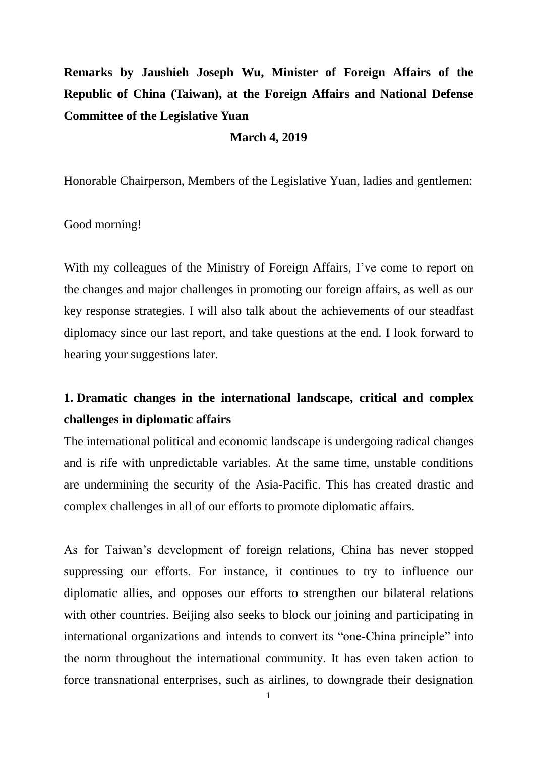# **Remarks by Jaushieh Joseph Wu, Minister of Foreign Affairs of the Republic of China (Taiwan), at the Foreign Affairs and National Defense Committee of the Legislative Yuan**

#### **March 4, 2019**

Honorable Chairperson, Members of the Legislative Yuan, ladies and gentlemen:

#### Good morning!

With my colleagues of the Ministry of Foreign Affairs, I've come to report on the changes and major challenges in promoting our foreign affairs, as well as our key response strategies. I will also talk about the achievements of our steadfast diplomacy since our last report, and take questions at the end. I look forward to hearing your suggestions later.

### **1. Dramatic changes in the international landscape, critical and complex challenges in diplomatic affairs**

The international political and economic landscape is undergoing radical changes and is rife with unpredictable variables. At the same time, unstable conditions are undermining the security of the Asia-Pacific. This has created drastic and complex challenges in all of our efforts to promote diplomatic affairs.

As for Taiwan's development of foreign relations, China has never stopped suppressing our efforts. For instance, it continues to try to influence our diplomatic allies, and opposes our efforts to strengthen our bilateral relations with other countries. Beijing also seeks to block our joining and participating in international organizations and intends to convert its "one-China principle" into the norm throughout the international community. It has even taken action to force transnational enterprises, such as airlines, to downgrade their designation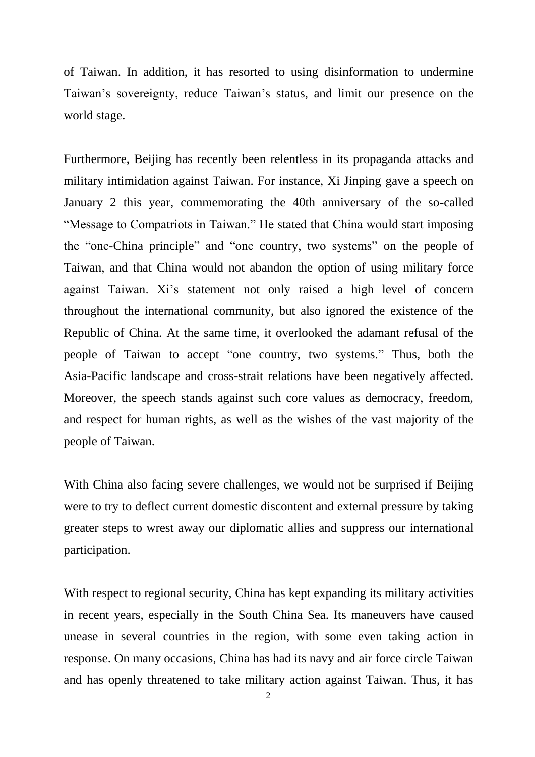of Taiwan. In addition, it has resorted to using disinformation to undermine Taiwan's sovereignty, reduce Taiwan's status, and limit our presence on the world stage.

Furthermore, Beijing has recently been relentless in its propaganda attacks and military intimidation against Taiwan. For instance, Xi Jinping gave a speech on January 2 this year, commemorating the 40th anniversary of the so-called "Message to Compatriots in Taiwan." He stated that China would start imposing the "one-China principle" and "one country, two systems" on the people of Taiwan, and that China would not abandon the option of using military force against Taiwan. Xi's statement not only raised a high level of concern throughout the international community, but also ignored the existence of the Republic of China. At the same time, it overlooked the adamant refusal of the people of Taiwan to accept "one country, two systems." Thus, both the Asia-Pacific landscape and cross-strait relations have been negatively affected. Moreover, the speech stands against such core values as democracy, freedom, and respect for human rights, as well as the wishes of the vast majority of the people of Taiwan.

With China also facing severe challenges, we would not be surprised if Beijing were to try to deflect current domestic discontent and external pressure by taking greater steps to wrest away our diplomatic allies and suppress our international participation.

With respect to regional security, China has kept expanding its military activities in recent years, especially in the South China Sea. Its maneuvers have caused unease in several countries in the region, with some even taking action in response. On many occasions, China has had its navy and air force circle Taiwan and has openly threatened to take military action against Taiwan. Thus, it has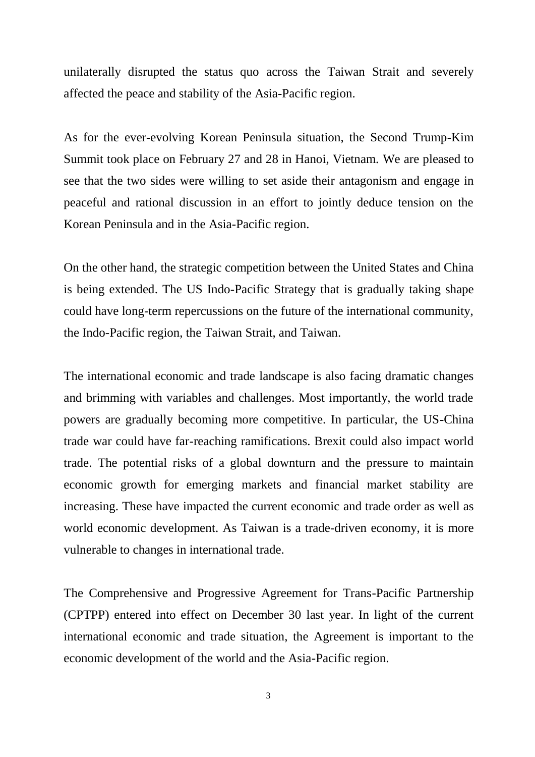unilaterally disrupted the status quo across the Taiwan Strait and severely affected the peace and stability of the Asia-Pacific region.

As for the ever-evolving Korean Peninsula situation, the Second Trump-Kim Summit took place on February 27 and 28 in Hanoi, Vietnam. We are pleased to see that the two sides were willing to set aside their antagonism and engage in peaceful and rational discussion in an effort to jointly deduce tension on the Korean Peninsula and in the Asia-Pacific region.

On the other hand, the strategic competition between the United States and China is being extended. The US Indo-Pacific Strategy that is gradually taking shape could have long-term repercussions on the future of the international community, the Indo-Pacific region, the Taiwan Strait, and Taiwan.

The international economic and trade landscape is also facing dramatic changes and brimming with variables and challenges. Most importantly, the world trade powers are gradually becoming more competitive. In particular, the US-China trade war could have far-reaching ramifications. Brexit could also impact world trade. The potential risks of a global downturn and the pressure to maintain economic growth for emerging markets and financial market stability are increasing. These have impacted the current economic and trade order as well as world economic development. As Taiwan is a trade-driven economy, it is more vulnerable to changes in international trade.

The Comprehensive and Progressive Agreement for Trans-Pacific Partnership (CPTPP) entered into effect on December 30 last year. In light of the current international economic and trade situation, the Agreement is important to the economic development of the world and the Asia-Pacific region.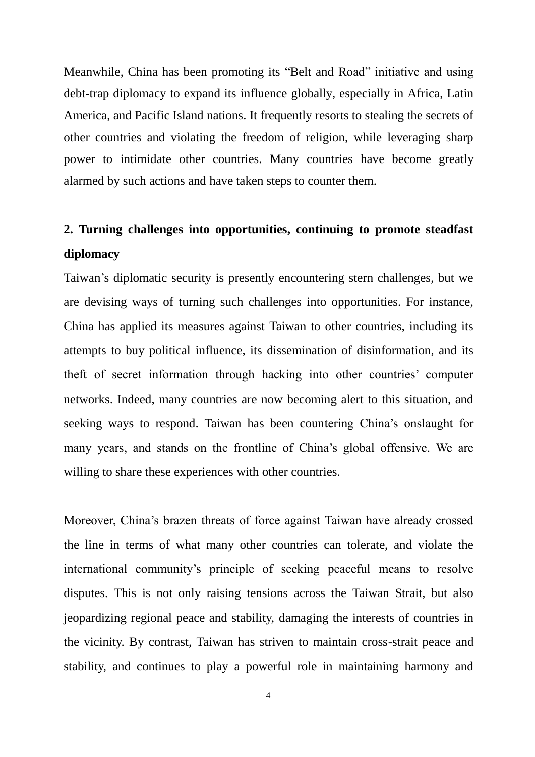Meanwhile, China has been promoting its "Belt and Road" initiative and using debt-trap diplomacy to expand its influence globally, especially in Africa, Latin America, and Pacific Island nations. It frequently resorts to stealing the secrets of other countries and violating the freedom of religion, while leveraging sharp power to intimidate other countries. Many countries have become greatly alarmed by such actions and have taken steps to counter them.

## **2. Turning challenges into opportunities, continuing to promote steadfast diplomacy**

Taiwan's diplomatic security is presently encountering stern challenges, but we are devising ways of turning such challenges into opportunities. For instance, China has applied its measures against Taiwan to other countries, including its attempts to buy political influence, its dissemination of disinformation, and its theft of secret information through hacking into other countries' computer networks. Indeed, many countries are now becoming alert to this situation, and seeking ways to respond. Taiwan has been countering China's onslaught for many years, and stands on the frontline of China's global offensive. We are willing to share these experiences with other countries.

Moreover, China's brazen threats of force against Taiwan have already crossed the line in terms of what many other countries can tolerate, and violate the international community's principle of seeking peaceful means to resolve disputes. This is not only raising tensions across the Taiwan Strait, but also jeopardizing regional peace and stability, damaging the interests of countries in the vicinity. By contrast, Taiwan has striven to maintain cross-strait peace and stability, and continues to play a powerful role in maintaining harmony and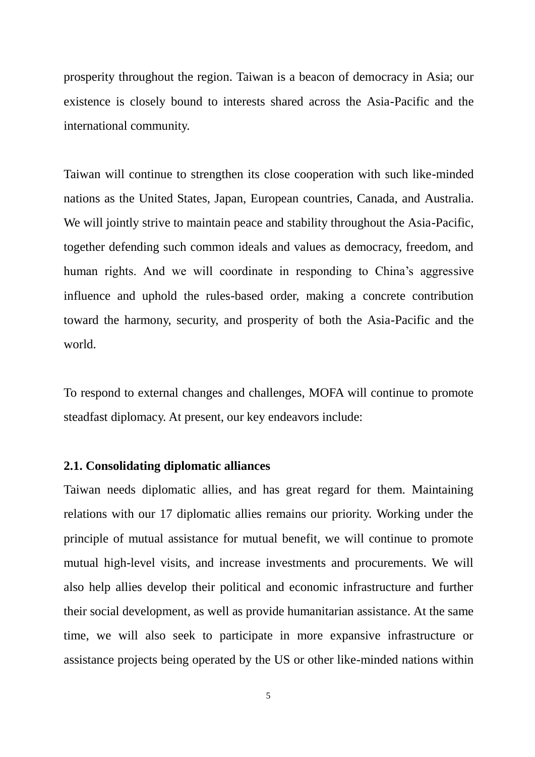prosperity throughout the region. Taiwan is a beacon of democracy in Asia; our existence is closely bound to interests shared across the Asia-Pacific and the international community.

Taiwan will continue to strengthen its close cooperation with such like-minded nations as the United States, Japan, European countries, Canada, and Australia. We will jointly strive to maintain peace and stability throughout the Asia-Pacific, together defending such common ideals and values as democracy, freedom, and human rights. And we will coordinate in responding to China's aggressive influence and uphold the rules-based order, making a concrete contribution toward the harmony, security, and prosperity of both the Asia-Pacific and the world.

To respond to external changes and challenges, MOFA will continue to promote steadfast diplomacy. At present, our key endeavors include:

#### **2.1. Consolidating diplomatic alliances**

Taiwan needs diplomatic allies, and has great regard for them. Maintaining relations with our 17 diplomatic allies remains our priority. Working under the principle of mutual assistance for mutual benefit, we will continue to promote mutual high-level visits, and increase investments and procurements. We will also help allies develop their political and economic infrastructure and further their social development, as well as provide humanitarian assistance. At the same time, we will also seek to participate in more expansive infrastructure or assistance projects being operated by the US or other like-minded nations within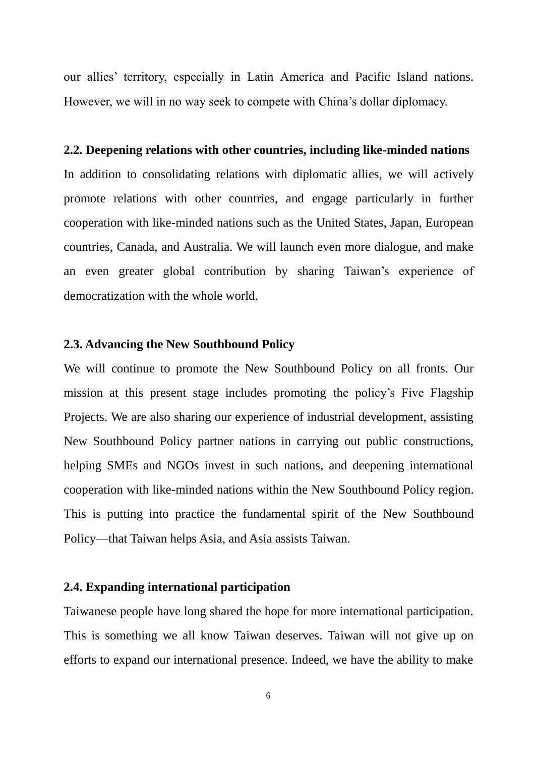our allies' territory, especially in Latin America and Pacific Island nations. However, we will in no way seek to compete with China's dollar diplomacy.

#### **2.2. Deepening relations with other countries, including like-minded nations**

In addition to consolidating relations with diplomatic allies, we will actively promote relations with other countries, and engage particularly in further cooperation with like-minded nations such as the United States, Japan, European countries, Canada, and Australia. We will launch even more dialogue, and make an even greater global contribution by sharing Taiwan's experience of democratization with the whole world.

#### **2.3. Advancing the New Southbound Policy**

We will continue to promote the New Southbound Policy on all fronts. Our mission at this present stage includes promoting the policy's Five Flagship Projects. We are also sharing our experience of industrial development, assisting New Southbound Policy partner nations in carrying out public constructions, helping SMEs and NGOs invest in such nations, and deepening international cooperation with like-minded nations within the New Southbound Policy region. This is putting into practice the fundamental spirit of the New Southbound Policy—that Taiwan helps Asia, and Asia assists Taiwan.

### **2.4. Expanding international participation**

Taiwanese people have long shared the hope for more international participation. This is something we all know Taiwan deserves. Taiwan will not give up on efforts to expand our international presence. Indeed, we have the ability to make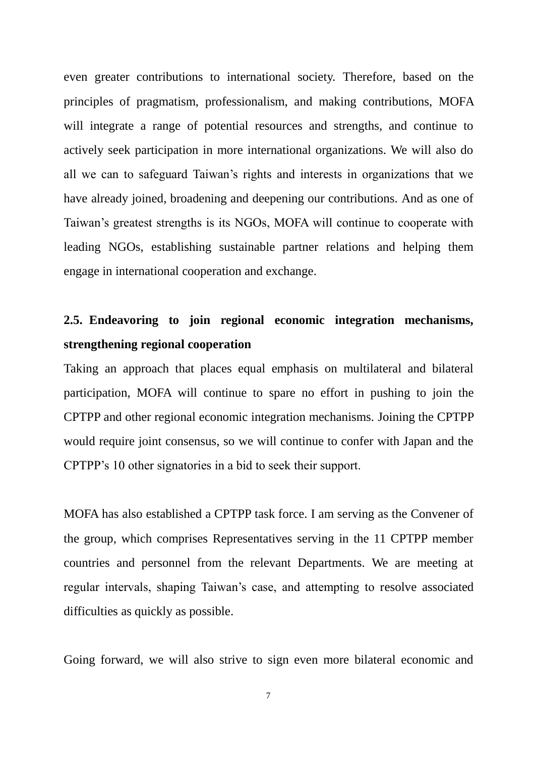even greater contributions to international society. Therefore, based on the principles of pragmatism, professionalism, and making contributions, MOFA will integrate a range of potential resources and strengths, and continue to actively seek participation in more international organizations. We will also do all we can to safeguard Taiwan's rights and interests in organizations that we have already joined, broadening and deepening our contributions. And as one of Taiwan's greatest strengths is its NGOs, MOFA will continue to cooperate with leading NGOs, establishing sustainable partner relations and helping them engage in international cooperation and exchange.

## **2.5. Endeavoring to join regional economic integration mechanisms, strengthening regional cooperation**

Taking an approach that places equal emphasis on multilateral and bilateral participation, MOFA will continue to spare no effort in pushing to join the CPTPP and other regional economic integration mechanisms. Joining the CPTPP would require joint consensus, so we will continue to confer with Japan and the CPTPP's 10 other signatories in a bid to seek their support.

MOFA has also established a CPTPP task force. I am serving as the Convener of the group, which comprises Representatives serving in the 11 CPTPP member countries and personnel from the relevant Departments. We are meeting at regular intervals, shaping Taiwan's case, and attempting to resolve associated difficulties as quickly as possible.

Going forward, we will also strive to sign even more bilateral economic and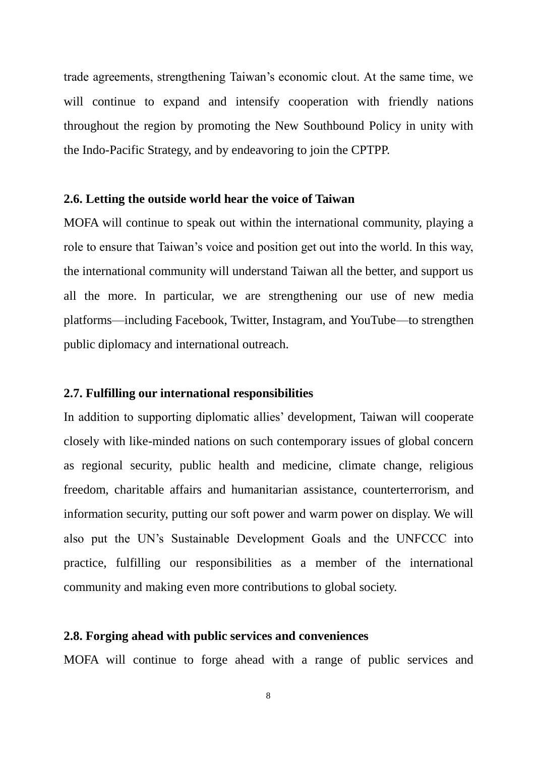trade agreements, strengthening Taiwan's economic clout. At the same time, we will continue to expand and intensify cooperation with friendly nations throughout the region by promoting the New Southbound Policy in unity with the Indo-Pacific Strategy, and by endeavoring to join the CPTPP.

#### **2.6. Letting the outside world hear the voice of Taiwan**

MOFA will continue to speak out within the international community, playing a role to ensure that Taiwan's voice and position get out into the world. In this way, the international community will understand Taiwan all the better, and support us all the more. In particular, we are strengthening our use of new media platforms—including Facebook, Twitter, Instagram, and YouTube—to strengthen public diplomacy and international outreach.

#### **2.7. Fulfilling our international responsibilities**

In addition to supporting diplomatic allies' development, Taiwan will cooperate closely with like-minded nations on such contemporary issues of global concern as regional security, public health and medicine, climate change, religious freedom, charitable affairs and humanitarian assistance, counterterrorism, and information security, putting our soft power and warm power on display. We will also put the UN's Sustainable Development Goals and the UNFCCC into practice, fulfilling our responsibilities as a member of the international community and making even more contributions to global society.

### **2.8. Forging ahead with public services and conveniences**

MOFA will continue to forge ahead with a range of public services and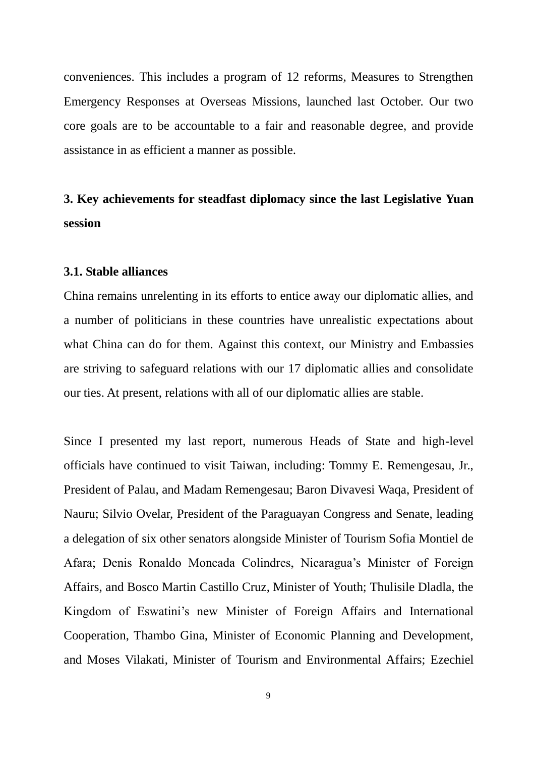conveniences. This includes a program of 12 reforms, Measures to Strengthen Emergency Responses at Overseas Missions, launched last October. Our two core goals are to be accountable to a fair and reasonable degree, and provide assistance in as efficient a manner as possible.

## **3. Key achievements for steadfast diplomacy since the last Legislative Yuan session**

### **3.1. Stable alliances**

China remains unrelenting in its efforts to entice away our diplomatic allies, and a number of politicians in these countries have unrealistic expectations about what China can do for them. Against this context, our Ministry and Embassies are striving to safeguard relations with our 17 diplomatic allies and consolidate our ties. At present, relations with all of our diplomatic allies are stable.

Since I presented my last report, numerous Heads of State and high-level officials have continued to visit Taiwan, including: Tommy E. Remengesau, Jr., President of Palau, and Madam Remengesau; Baron Divavesi Waqa, President of Nauru; Silvio Ovelar, President of the Paraguayan Congress and Senate, leading a delegation of six other senators alongside Minister of Tourism Sofia Montiel de Afara; Denis Ronaldo Moncada Colindres, Nicaragua's Minister of Foreign Affairs, and Bosco Martin Castillo Cruz, Minister of Youth; Thulisile Dladla, the Kingdom of Eswatini's new Minister of Foreign Affairs and International Cooperation, Thambo Gina, Minister of Economic Planning and Development, and Moses Vilakati, Minister of Tourism and Environmental Affairs; Ezechiel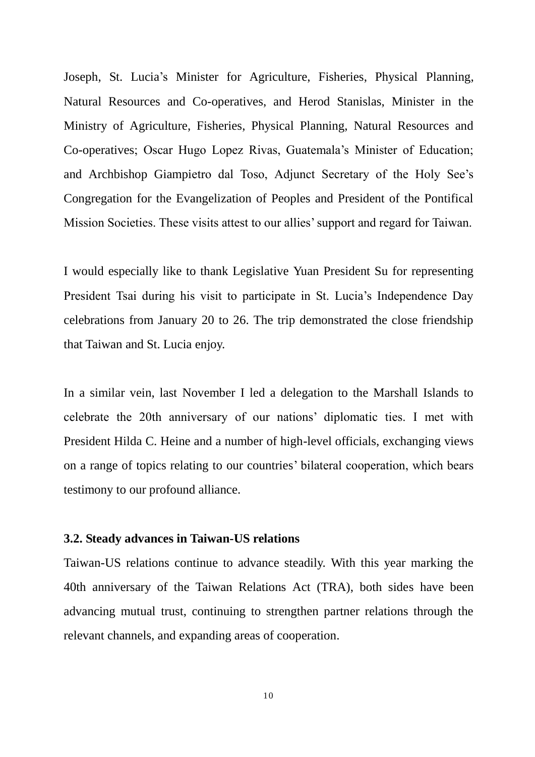Joseph, St. Lucia's Minister for Agriculture, Fisheries, Physical Planning, Natural Resources and Co-operatives, and Herod Stanislas, Minister in the Ministry of Agriculture, Fisheries, Physical Planning, Natural Resources and Co-operatives; Oscar Hugo Lopez Rivas, Guatemala's Minister of Education; and Archbishop Giampietro dal Toso, Adjunct Secretary of the Holy See's Congregation for the Evangelization of Peoples and President of the Pontifical Mission Societies. These visits attest to our allies' support and regard for Taiwan.

I would especially like to thank Legislative Yuan President Su for representing President Tsai during his visit to participate in St. Lucia's Independence Day celebrations from January 20 to 26. The trip demonstrated the close friendship that Taiwan and St. Lucia enjoy.

In a similar vein, last November I led a delegation to the Marshall Islands to celebrate the 20th anniversary of our nations' diplomatic ties. I met with President Hilda C. Heine and a number of high-level officials, exchanging views on a range of topics relating to our countries' bilateral cooperation, which bears testimony to our profound alliance.

#### **3.2. Steady advances in Taiwan-US relations**

Taiwan-US relations continue to advance steadily. With this year marking the 40th anniversary of the Taiwan Relations Act (TRA), both sides have been advancing mutual trust, continuing to strengthen partner relations through the relevant channels, and expanding areas of cooperation.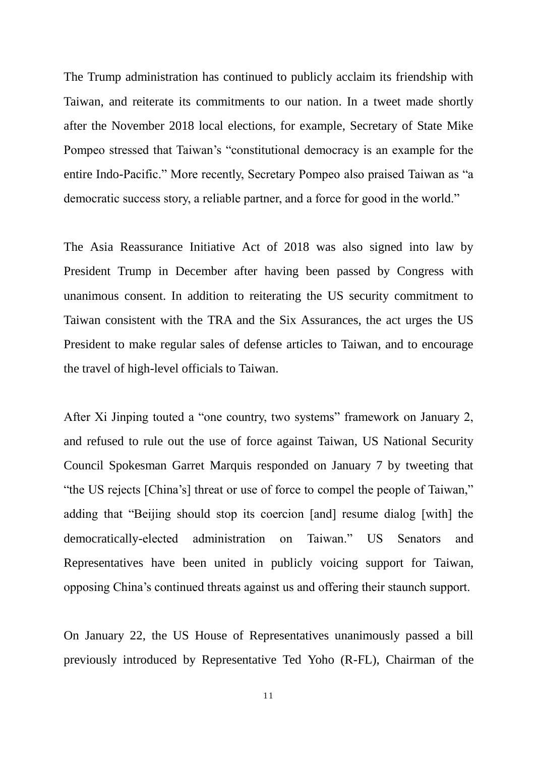The Trump administration has continued to publicly acclaim its friendship with Taiwan, and reiterate its commitments to our nation. In a tweet made shortly after the November 2018 local elections, for example, Secretary of State Mike Pompeo stressed that Taiwan's "constitutional democracy is an example for the entire Indo-Pacific." More recently, Secretary Pompeo also praised Taiwan as "a democratic success story, a reliable partner, and a force for good in the world."

The Asia Reassurance Initiative Act of 2018 was also signed into law by President Trump in December after having been passed by Congress with unanimous consent. In addition to reiterating the US security commitment to Taiwan consistent with the TRA and the Six Assurances, the act urges the US President to make regular sales of defense articles to Taiwan, and to encourage the travel of high-level officials to Taiwan.

After Xi Jinping touted a "one country, two systems" framework on January 2, and refused to rule out the use of force against Taiwan, US National Security Council Spokesman Garret Marquis responded on January 7 by tweeting that "the US rejects [China's] threat or use of force to compel the people of Taiwan," adding that "Beijing should stop its coercion [and] resume dialog [with] the democratically-elected administration on Taiwan." US Senators and Representatives have been united in publicly voicing support for Taiwan, opposing China's continued threats against us and offering their staunch support.

On January 22, the US House of Representatives unanimously passed a bill previously introduced by Representative Ted Yoho (R-FL), Chairman of the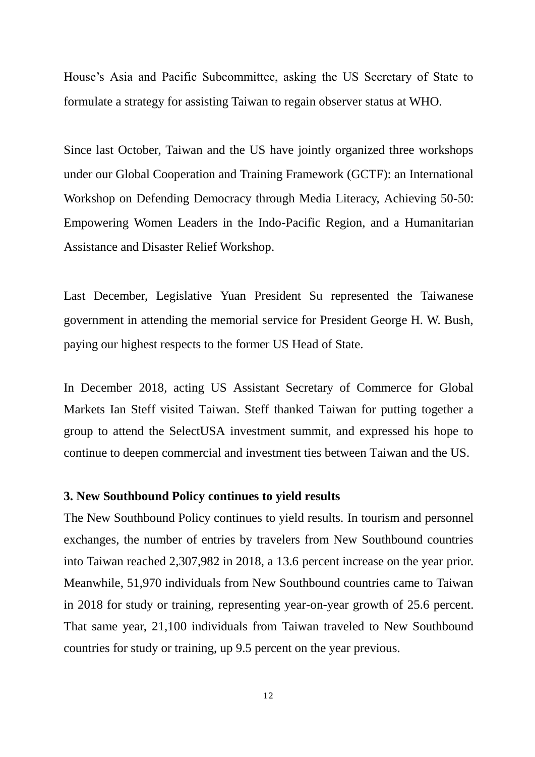House's Asia and Pacific Subcommittee, asking the US Secretary of State to formulate a strategy for assisting Taiwan to regain observer status at WHO.

Since last October, Taiwan and the US have jointly organized three workshops under our Global Cooperation and Training Framework (GCTF): an International Workshop on Defending Democracy through Media Literacy, Achieving 50-50: Empowering Women Leaders in the Indo-Pacific Region, and a Humanitarian Assistance and Disaster Relief Workshop.

Last December, Legislative Yuan President Su represented the Taiwanese government in attending the memorial service for President George H. W. Bush, paying our highest respects to the former US Head of State.

In December 2018, acting US Assistant Secretary of Commerce for Global Markets Ian Steff visited Taiwan. Steff thanked Taiwan for putting together a group to attend the SelectUSA investment summit, and expressed his hope to continue to deepen commercial and investment ties between Taiwan and the US.

#### **3. New Southbound Policy continues to yield results**

The New Southbound Policy continues to yield results. In tourism and personnel exchanges, the number of entries by travelers from New Southbound countries into Taiwan reached 2,307,982 in 2018, a 13.6 percent increase on the year prior. Meanwhile, 51,970 individuals from New Southbound countries came to Taiwan in 2018 for study or training, representing year-on-year growth of 25.6 percent. That same year, 21,100 individuals from Taiwan traveled to New Southbound countries for study or training, up 9.5 percent on the year previous.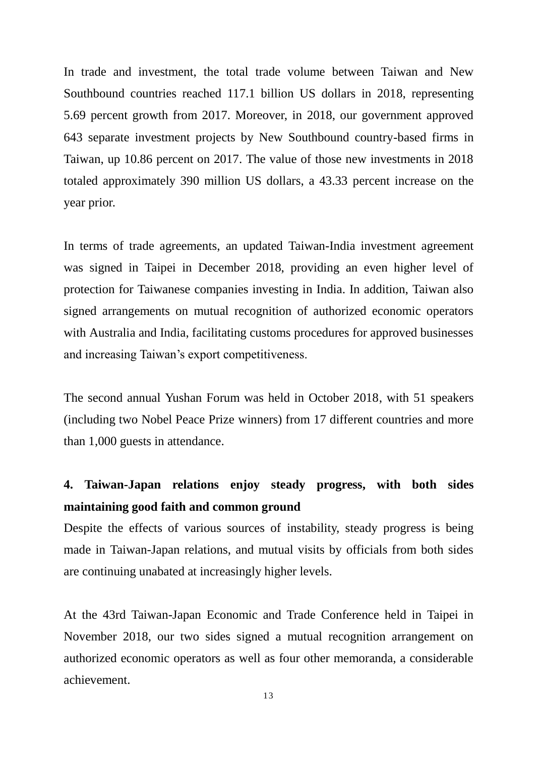In trade and investment, the total trade volume between Taiwan and New Southbound countries reached 117.1 billion US dollars in 2018, representing 5.69 percent growth from 2017. Moreover, in 2018, our government approved 643 separate investment projects by New Southbound country-based firms in Taiwan, up 10.86 percent on 2017. The value of those new investments in 2018 totaled approximately 390 million US dollars, a 43.33 percent increase on the year prior.

In terms of trade agreements, an updated Taiwan-India investment agreement was signed in Taipei in December 2018, providing an even higher level of protection for Taiwanese companies investing in India. In addition, Taiwan also signed arrangements on mutual recognition of authorized economic operators with Australia and India, facilitating customs procedures for approved businesses and increasing Taiwan's export competitiveness.

The second annual Yushan Forum was held in October 2018, with 51 speakers (including two Nobel Peace Prize winners) from 17 different countries and more than 1,000 guests in attendance.

## **4. Taiwan-Japan relations enjoy steady progress, with both sides maintaining good faith and common ground**

Despite the effects of various sources of instability, steady progress is being made in Taiwan-Japan relations, and mutual visits by officials from both sides are continuing unabated at increasingly higher levels.

At the 43rd Taiwan-Japan Economic and Trade Conference held in Taipei in November 2018, our two sides signed a mutual recognition arrangement on authorized economic operators as well as four other memoranda, a considerable achievement.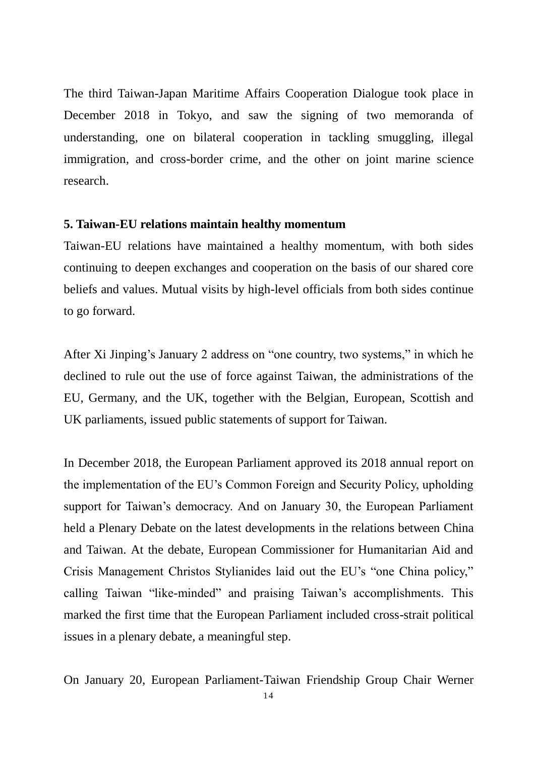The third Taiwan-Japan Maritime Affairs Cooperation Dialogue took place in December 2018 in Tokyo, and saw the signing of two memoranda of understanding, one on bilateral cooperation in tackling smuggling, illegal immigration, and cross-border crime, and the other on joint marine science research.

#### **5. Taiwan-EU relations maintain healthy momentum**

Taiwan-EU relations have maintained a healthy momentum, with both sides continuing to deepen exchanges and cooperation on the basis of our shared core beliefs and values. Mutual visits by high-level officials from both sides continue to go forward.

After Xi Jinping's January 2 address on "one country, two systems," in which he declined to rule out the use of force against Taiwan, the administrations of the EU, Germany, and the UK, together with the Belgian, European, Scottish and UK parliaments, issued public statements of support for Taiwan.

In December 2018, the European Parliament approved its 2018 annual report on the implementation of the EU's Common Foreign and Security Policy, upholding support for Taiwan's democracy. And on January 30, the European Parliament held a Plenary Debate on the latest developments in the relations between China and Taiwan. At the debate, European Commissioner for Humanitarian Aid and Crisis Management Christos Stylianides laid out the EU's "one China policy," calling Taiwan "like-minded" and praising Taiwan's accomplishments. This marked the first time that the European Parliament included cross-strait political issues in a plenary debate, a meaningful step.

On January 20, European Parliament-Taiwan Friendship Group Chair Werner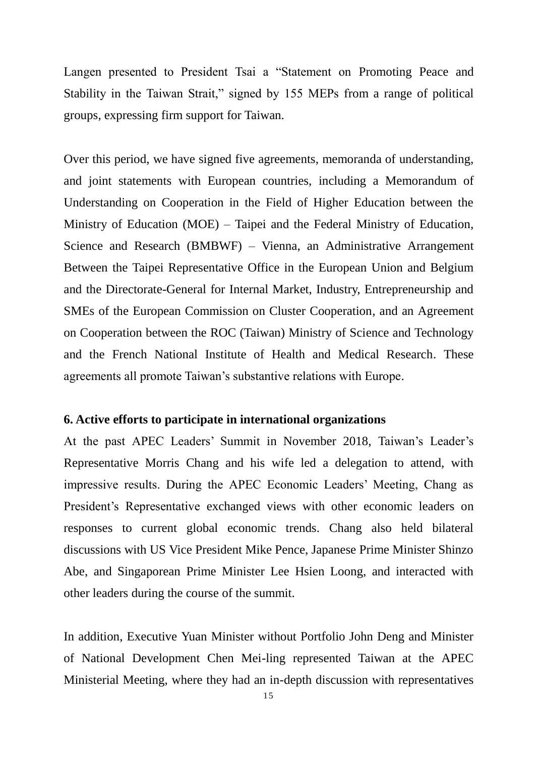Langen presented to President Tsai a "Statement on Promoting Peace and Stability in the Taiwan Strait," signed by 155 MEPs from a range of political groups, expressing firm support for Taiwan.

Over this period, we have signed five agreements, memoranda of understanding, and joint statements with European countries, including a Memorandum of Understanding on Cooperation in the Field of Higher Education between the Ministry of Education (MOE) – Taipei and the Federal Ministry of Education, Science and Research (BMBWF) – Vienna, an Administrative Arrangement Between the Taipei Representative Office in the European Union and Belgium and the Directorate-General for Internal Market, Industry, Entrepreneurship and SMEs of the European Commission on Cluster Cooperation, and an Agreement on Cooperation between the ROC (Taiwan) Ministry of Science and Technology and the French National Institute of Health and Medical Research. These agreements all promote Taiwan's substantive relations with Europe.

#### **6. Active efforts to participate in international organizations**

At the past APEC Leaders' Summit in November 2018, Taiwan's Leader's Representative Morris Chang and his wife led a delegation to attend, with impressive results. During the APEC Economic Leaders' Meeting, Chang as President's Representative exchanged views with other economic leaders on responses to current global economic trends. Chang also held bilateral discussions with US Vice President Mike Pence, Japanese Prime Minister Shinzo Abe, and Singaporean Prime Minister Lee Hsien Loong, and interacted with other leaders during the course of the summit.

In addition, Executive Yuan Minister without Portfolio John Deng and Minister of National Development Chen Mei-ling represented Taiwan at the APEC Ministerial Meeting, where they had an in-depth discussion with representatives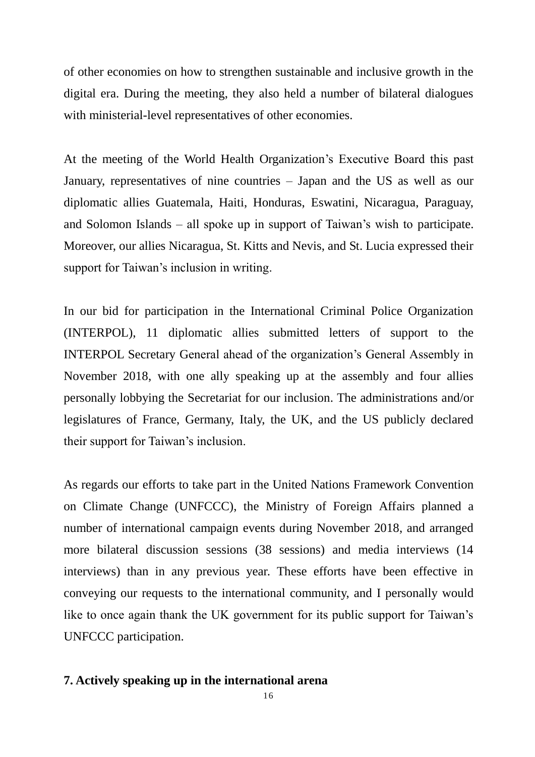of other economies on how to strengthen sustainable and inclusive growth in the digital era. During the meeting, they also held a number of bilateral dialogues with ministerial-level representatives of other economies.

At the meeting of the World Health Organization's Executive Board this past January, representatives of nine countries – Japan and the US as well as our diplomatic allies Guatemala, Haiti, Honduras, Eswatini, Nicaragua, Paraguay, and Solomon Islands – all spoke up in support of Taiwan's wish to participate. Moreover, our allies Nicaragua, St. Kitts and Nevis, and St. Lucia expressed their support for Taiwan's inclusion in writing.

In our bid for participation in the International Criminal Police Organization (INTERPOL), 11 diplomatic allies submitted letters of support to the INTERPOL Secretary General ahead of the organization's General Assembly in November 2018, with one ally speaking up at the assembly and four allies personally lobbying the Secretariat for our inclusion. The administrations and/or legislatures of France, Germany, Italy, the UK, and the US publicly declared their support for Taiwan's inclusion.

As regards our efforts to take part in the United Nations Framework Convention on Climate Change (UNFCCC), the Ministry of Foreign Affairs planned a number of international campaign events during November 2018, and arranged more bilateral discussion sessions (38 sessions) and media interviews (14 interviews) than in any previous year. These efforts have been effective in conveying our requests to the international community, and I personally would like to once again thank the UK government for its public support for Taiwan's UNFCCC participation.

### **7. Actively speaking up in the international arena**